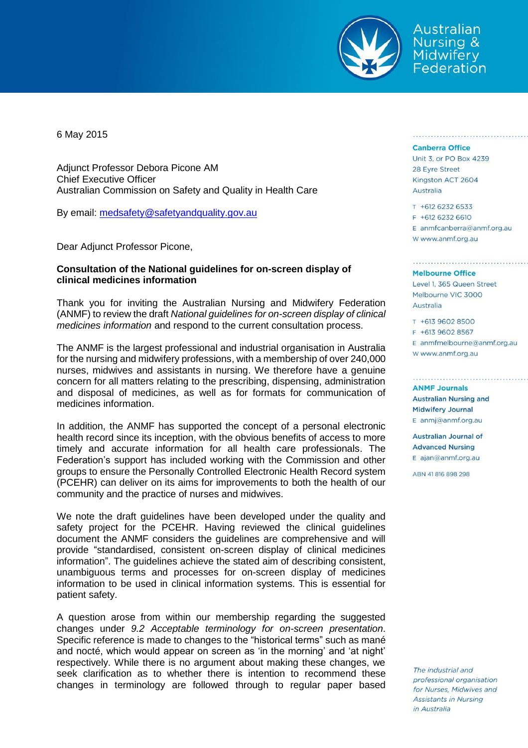

Australian Nursing & **Midwifery** Federation

6 May 2015

Adjunct Professor Debora Picone AM Chief Executive Officer Australian Commission on Safety and Quality in Health Care

By email: [medsafety@safetyandquality.gov.au](mailto:medsafety@safetyandquality.gov.au)

Dear Adjunct Professor Picone,

## **Consultation of the National guidelines for on-screen display of clinical medicines information**

Thank you for inviting the Australian Nursing and Midwifery Federation (ANMF) to review the draft *National guidelines for on-screen display of clinical medicines information* and respond to the current consultation process.

The ANMF is the largest professional and industrial organisation in Australia for the nursing and midwifery professions, with a membership of over 240,000 nurses, midwives and assistants in nursing. We therefore have a genuine concern for all matters relating to the prescribing, dispensing, administration and disposal of medicines, as well as for formats for communication of medicines information.

In addition, the ANMF has supported the concept of a personal electronic health record since its inception, with the obvious benefits of access to more timely and accurate information for all health care professionals. The Federation's support has included working with the Commission and other groups to ensure the Personally Controlled Electronic Health Record system (PCEHR) can deliver on its aims for improvements to both the health of our community and the practice of nurses and midwives.

We note the draft guidelines have been developed under the quality and safety project for the PCEHR. Having reviewed the clinical guidelines document the ANMF considers the guidelines are comprehensive and will provide "standardised, consistent on-screen display of clinical medicines information". The guidelines achieve the stated aim of describing consistent, unambiguous terms and processes for on-screen display of medicines information to be used in clinical information systems. This is essential for patient safety.

A question arose from within our membership regarding the suggested changes under *9.2 Acceptable terminology for on-screen presentation*. Specific reference is made to changes to the "historical terms" such as mané and nocté, which would appear on screen as 'in the morning' and 'at night' respectively. While there is no argument about making these changes, we seek clarification as to whether there is intention to recommend these changes in terminology are followed through to regular paper based

## **Canberra Office**

Unit 3, or PO Box 4239 28 Eyre Street Kingston ACT 2604 Australia

## T +612 6232 6533 F +612 6232 6610 E anmfcanberra@anmf.org.au w www.anmf.org.au

## **Melbourne Office**

Level 1, 365 Queen Street Melbourne VIC 3000 Australia

T +613 9602 8500 F +613 9602 8567  $E$  anmfmelbourne@anmf.org.au W www.anmf.org.au

**ANME Journals Australian Nursing and Midwifery Journal** E anmj@anmf.org.au

**Australian Journal of Advanced Nursing** E ajan@anmf.org.au

ABN 41816898298

The industrial and professional organisation for Nurses, Midwives and Assistants in Nursing in Australia